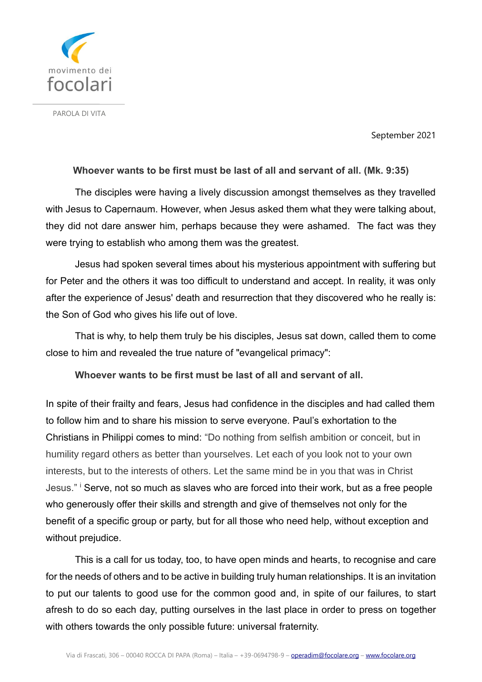

PAROLA DI VITA

September 2021

## **Whoever wants to be first must be last of all and servant of all. (Mk. 9:35)**

The disciples were having a lively discussion amongst themselves as they travelled with Jesus to Capernaum. However, when Jesus asked them what they were talking about, they did not dare answer him, perhaps because they were ashamed. The fact was they were trying to establish who among them was the greatest.

Jesus had spoken several times about his mysterious appointment with suffering but for Peter and the others it was too difficult to understand and accept. In reality, it was only after the experience of Jesus' death and resurrection that they discovered who he really is: the Son of God who gives his life out of love.

That is why, to help them truly be his disciples, Jesus sat down, called them to come close to him and revealed the true nature of "evangelical primacy":

## **Whoever wants to be first must be last of all and servant of all.**

In spite of their frailty and fears, Jesus had confidence in the disciples and had called them to follow him and to share his mission to serve everyone. Paul's exhortation to the Christians in Philippi comes to mind: "Do nothing from selfish ambition or conceit, but in humility regard others as better than yourselves. Let each of you look not to your own interests, but to the interests of others. Let the same mind be in you that was in Christ Jesus." Serve, not so much as slaves who are forced into their work, but as a free people who generously offer their skills and strength and give of themselves not only for the benefit of a specific group or party, but for all those who need help, without exception and without prejudice.

This is a call for us today, too, to have open minds and hearts, to recognise and care for the needs of others and to be active in building truly human relationships. It is an invitation to put our talents to good use for the common good and, in spite of our failures, to start afresh to do so each day, putting ourselves in the last place in order to press on together with others towards the only possible future: universal fraternity.